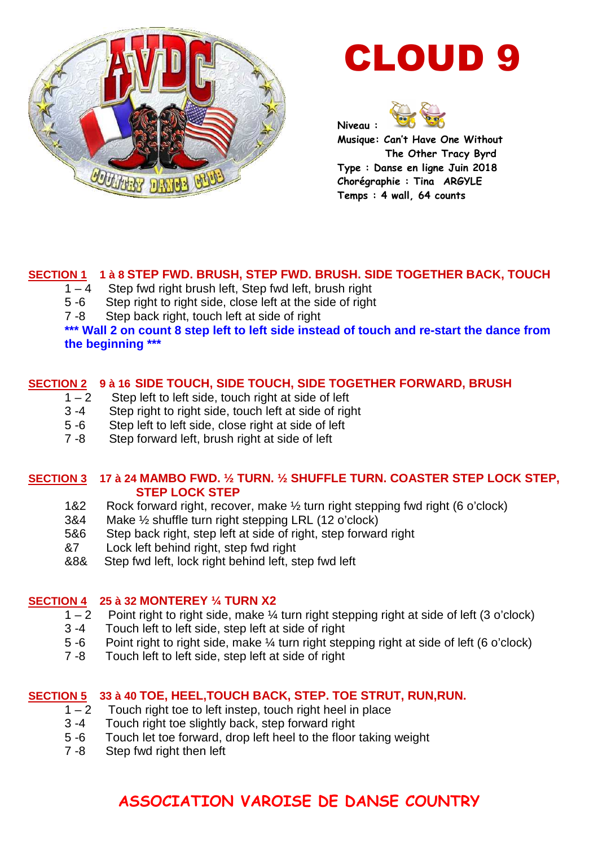

# CLOUD 9



**Niveau :** 

**Musique: Can't Have One Without The Other Tracy Byrd Type : Danse en ligne Juin 2018 Chorégraphie : Tina ARGYLE Temps : 4 wall, 64 counts** 

### **SECTION 1 1 à 8 STEP FWD. BRUSH, STEP FWD. BRUSH. SIDE TOGETHER BACK, TOUCH**

- 1 4 Step fwd right brush left, Step fwd left, brush right
- 5 -6 Step right to right side, close left at the side of right
- 7 -8 Step back right, touch left at side of right

### **\*\*\* Wall 2 on count 8 step left to left side instead of touch and re-start the dance from the beginning \*\*\***

### **SECTION 2 9 à 16 SIDE TOUCH, SIDE TOUCH, SIDE TOGETHER FORWARD, BRUSH**

- $1 2$  Step left to left side, touch right at side of left
- 3 -4 Step right to right side, touch left at side of right
- 5 -6 Step left to left side, close right at side of left
- 7 -8 Step forward left, brush right at side of left

### **SECTION 3 17 à 24 MAMBO FWD. ½ TURN. ½ SHUFFLE TURN. COASTER STEP LOCK STEP, STEP LOCK STEP**

- 1&2 Rock forward right, recover, make ½ turn right stepping fwd right (6 o'clock)
- 3&4 Make ½ shuffle turn right stepping LRL (12 o'clock)
- 5&6 Step back right, step left at side of right, step forward right
- &7 Lock left behind right, step fwd right
- &8& Step fwd left, lock right behind left, step fwd left

### **SECTION 4 25 à 32 MONTEREY ¼ TURN X2**

- $1 2$  Point right to right side, make  $\frac{1}{4}$  turn right stepping right at side of left (3 o'clock)
- 3 -4 Touch left to left side, step left at side of right
- 5 -6 Point right to right side, make ¼ turn right stepping right at side of left (6 o'clock)
- 7 -8 Touch left to left side, step left at side of right

### **SECTION 5 33 à 40 TOE, HEEL,TOUCH BACK, STEP. TOE STRUT, RUN,RUN.**

- $1 2$  Touch right toe to left instep, touch right heel in place
- 3 -4 Touch right toe slightly back, step forward right
- 5 -6 Touch let toe forward, drop left heel to the floor taking weight
- 7 -8 Step fwd right then left

### **ASSOCIATION VAROISE DE DANSE COUNTRY**